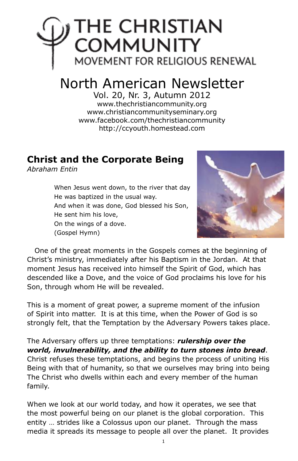# THE CHRISTIAN<br>COMMUNITY MOVEMENT FOR RELIGIOUS RENEWAL

# North American Newsletter

Vol. 20, Nr. 3, Autumn 2012 www.thechristiancommunity.org www.christiancommunityseminary.org www.facebook.com/thechristiancommunity http://ccyouth.homestead.com

# **Christ and the Corporate Being**

*Abraham Entin*

When Jesus went down, to the river that day He was baptized in the usual way. And when it was done, God blessed his Son, He sent him his love, On the wings of a dove. (Gospel Hymn)



One of the great moments in the Gospels comes at the beginning of Christ's ministry, immediately after his Baptism in the Jordan. At that moment Jesus has received into himself the Spirit of God, which has descended like a Dove, and the voice of God proclaims his love for his Son, through whom He will be revealed.

This is a moment of great power, a supreme moment of the infusion of Spirit into matter. It is at this time, when the Power of God is so strongly felt, that the Temptation by the Adversary Powers takes place.

The Adversary offers up three temptations: *rulership over the world, invulnerability, and the ability to turn stones into bread*. Christ refuses these temptations, and begins the process of uniting His Being with that of humanity, so that we ourselves may bring into being The Christ who dwells within each and every member of the human family.

When we look at our world today, and how it operates, we see that the most powerful being on our planet is the global corporation. This entity … strides like a Colossus upon our planet. Through the mass media it spreads its message to people all over the planet. It provides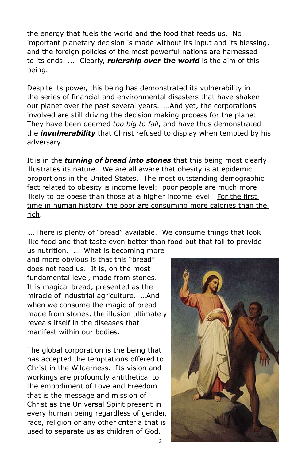the energy that fuels the world and the food that feeds us. No important planetary decision is made without its input and its blessing, and the foreign policies of the most powerful nations are harnessed to its ends. ... Clearly, *rulership over the world* is the aim of this being.

Despite its power, this being has demonstrated its vulnerability in the series of financial and environmental disasters that have shaken our planet over the past several years. …And yet, the corporations involved are still driving the decision making process for the planet. They have been deemed *too big to fail*, and have thus demonstrated the *invulnerability* that Christ refused to display when tempted by his adversary.

It is in the *turning of bread into stones* that this being most clearly illustrates its nature. We are all aware that obesity is at epidemic proportions in the United States. The most outstanding demographic fact related to obesity is income level: poor people are much more likely to be obese than those at a higher income level. For the first time in human history, the poor are consuming more calories than the rich.

….There is plenty of "bread" available. We consume things that look like food and that taste even better than food but that fail to provide

us nutrition. … What is becoming more and more obvious is that this "bread" does not feed us. It is, on the most fundamental level, made from stones. It is magical bread, presented as the miracle of industrial agriculture. …And when we consume the magic of bread made from stones, the illusion ultimately reveals itself in the diseases that manifest within our bodies.

The global corporation is the being that has accepted the temptations offered to Christ in the Wilderness. Its vision and workings are profoundly antithetical to the embodiment of Love and Freedom that is the message and mission of Christ as the Universal Spirit present in every human being regardless of gender, race, religion or any other criteria that is used to separate us as children of God.

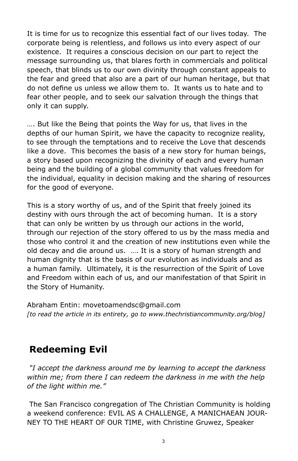It is time for us to recognize this essential fact of our lives today. The corporate being is relentless, and follows us into every aspect of our existence. It requires a conscious decision on our part to reject the message surrounding us, that blares forth in commercials and political speech, that blinds us to our own divinity through constant appeals to the fear and greed that also are a part of our human heritage, but that do not define us unless we allow them to. It wants us to hate and to fear other people, and to seek our salvation through the things that only it can supply.

…. But like the Being that points the Way for us, that lives in the depths of our human Spirit, we have the capacity to recognize reality, to see through the temptations and to receive the Love that descends like a dove. This becomes the basis of a new story for human beings, a story based upon recognizing the divinity of each and every human being and the building of a global community that values freedom for the individual, equality in decision making and the sharing of resources for the good of everyone.

This is a story worthy of us, and of the Spirit that freely joined its destiny with ours through the act of becoming human. It is a story that can only be written by us through our actions in the world, through our rejection of the story offered to us by the mass media and those who control it and the creation of new institutions even while the old decay and die around us. …. It is a story of human strength and human dignity that is the basis of our evolution as individuals and as a human family. Ultimately, it is the resurrection of the Spirit of Love and Freedom within each of us, and our manifestation of that Spirit in the Story of Humanity.

Abraham Entin: movetoamendsc@gmail.com *[to read the article in its entirety, go to www.thechristiancommunity.org/blog]*

### **Redeeming Evil**

*"I accept the darkness around me by learning to accept the darkness within me; from there I can redeem the darkness in me with the help of the light within me."*

The San Francisco congregation of The Christian Community is holding a weekend conference: EVIL AS A CHALLENGE, A MANICHAEAN JOUR-NEY TO THE HEART OF OUR TIME, with Christine Gruwez, Speaker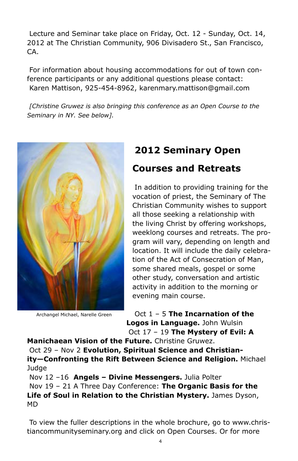Lecture and Seminar take place on Friday, Oct. 12 - Sunday, Oct. 14, 2012 at The Christian Community, 906 Divisadero St., San Francisco, CA.

For information about housing accommodations for out of town conference participants or any additional questions please contact: Karen Mattison, 925-454-8962, karenmary.mattison@gmail.com

*[Christine Gruwez is also bringing this conference as an Open Course to the Seminary in NY. See below].*



Archangel Michael, Narelle Green

# **2012 Seminary Open**

## **Courses and Retreats**

In addition to providing training for the vocation of priest, the Seminary of The Christian Community wishes to support all those seeking a relationship with the living Christ by offering workshops, weeklong courses and retreats. The program will vary, depending on length and location. It will include the daily celebration of the Act of Consecration of Man, some shared meals, gospel or some other study, conversation and artistic activity in addition to the morning or evening main course.

Oct 1 – 5 **The Incarnation of the Logos in Language.** John Wulsin Oct 17 – 19 **The Mystery of Evil: A** 

**Manichaean Vision of the Future.** Christine Gruwez. Oct 29 – Nov 2 **Evolution, Spiritual Science and Christianity—Confronting the Rift Between Science and Religion.** Michael **Judge** 

Nov 12 –16 **Angels – Divine Messengers.** Julia Polter Nov 19 – 21 A Three Day Conference: **The Organic Basis for the Life of Soul in Relation to the Christian Mystery.** James Dyson, MD

To view the fuller descriptions in the whole brochure, go to www.christiancommunityseminary.org and click on Open Courses. Or for more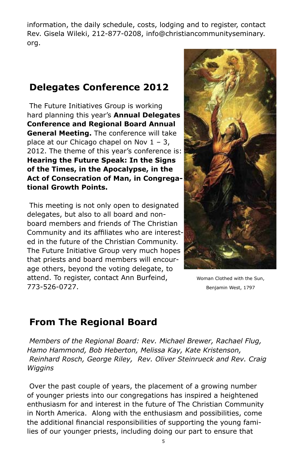information, the daily schedule, costs, lodging and to register, contact Rev. Gisela Wileki, 212-877-0208, info@christiancommunityseminary. org.

# **Delegates Conference 2012**

The Future Initiatives Group is working hard planning this year's **Annual Delegates Conference and Regional Board Annual General Meeting.** The conference will take place at our Chicago chapel on Nov  $1 - 3$ , 2012. The theme of this year's conference is: **Hearing the Future Speak: In the Signs of the Times, in the Apocalypse, in the Act of Consecration of Man, in Congregational Growth Points.**

This meeting is not only open to designated delegates, but also to all board and nonboard members and friends of The Christian Community and its affiliates who are interested in the future of the Christian Community. The Future Initiative Group very much hopes that priests and board members will encourage others, beyond the voting delegate, to attend. To register, contact Ann Burfeind, 773-526-0727.



Woman Clothed with the Sun, Benjamin West, 1797

# **From The Regional Board**

*Members of the Regional Board: Rev. Michael Brewer, Rachael Flug, Hamo Hammond, Bob Heberton, Melissa Kay, Kate Kristenson, Reinhard Rosch, George Riley, Rev. Oliver Steinrueck and Rev. Craig Wiggins*

Over the past couple of years, the placement of a growing number of younger priests into our congregations has inspired a heightened enthusiasm for and interest in the future of The Christian Community in North America. Along with the enthusiasm and possibilities, come the additional financial responsibilities of supporting the young families of our younger priests, including doing our part to ensure that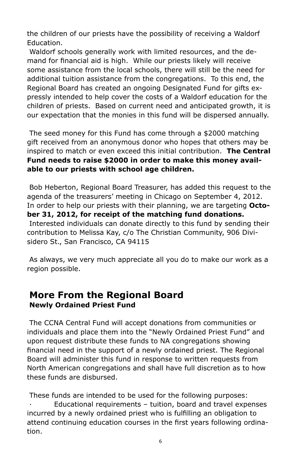the children of our priests have the possibility of receiving a Waldorf Education.

Waldorf schools generally work with limited resources, and the demand for financial aid is high. While our priests likely will receive some assistance from the local schools, there will still be the need for additional tuition assistance from the congregations. To this end, the Regional Board has created an ongoing Designated Fund for gifts expressly intended to help cover the costs of a Waldorf education for the children of priests. Based on current need and anticipated growth, it is our expectation that the monies in this fund will be dispersed annually.

The seed money for this Fund has come through a \$2000 matching gift received from an anonymous donor who hopes that others may be inspired to match or even exceed this initial contribution. **The Central Fund needs to raise \$2000 in order to make this money available to our priests with school age children.**

Bob Heberton, Regional Board Treasurer, has added this request to the agenda of the treasurers' meeting in Chicago on September 4, 2012. In order to help our priests with their planning, we are targeting **October 31, 2012, for receipt of the matching fund donations.** Interested individuals can donate directly to this fund by sending their contribution to Melissa Kay, c/o The Christian Community, 906 Divisidero St., San Francisco, CA 94115

As always, we very much appreciate all you do to make our work as a region possible.

### **More From the Regional Board Newly Ordained Priest Fund**

The CCNA Central Fund will accept donations from communities or individuals and place them into the "Newly Ordained Priest Fund" and upon request distribute these funds to NA congregations showing financial need in the support of a newly ordained priest. The Regional Board will administer this fund in response to written requests from North American congregations and shall have full discretion as to how these funds are disbursed.

These funds are intended to be used for the following purposes: Educational requirements - tuition, board and travel expenses incurred by a newly ordained priest who is fulfilling an obligation to attend continuing education courses in the first years following ordination.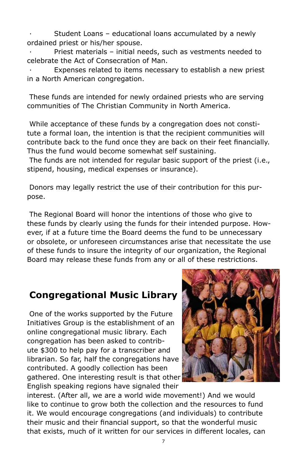Student Loans – educational loans accumulated by a newly ordained priest or his/her spouse.

Priest materials - initial needs, such as vestments needed to celebrate the Act of Consecration of Man.

Expenses related to items necessary to establish a new priest in a North American congregation.

These funds are intended for newly ordained priests who are serving communities of The Christian Community in North America.

While acceptance of these funds by a congregation does not constitute a formal loan, the intention is that the recipient communities will contribute back to the fund once they are back on their feet financially. Thus the fund would become somewhat self sustaining.

The funds are not intended for regular basic support of the priest (i.e., stipend, housing, medical expenses or insurance).

Donors may legally restrict the use of their contribution for this purpose.

The Regional Board will honor the intentions of those who give to these funds by clearly using the funds for their intended purpose. However, if at a future time the Board deems the fund to be unnecessary or obsolete, or unforeseen circumstances arise that necessitate the use of these funds to insure the integrity of our organization, the Regional Board may release these funds from any or all of these restrictions.

# **Congregational Music Library**

One of the works supported by the Future Initiatives Group is the establishment of an online congregational music library. Each congregation has been asked to contribute \$300 to help pay for a transcriber and librarian. So far, half the congregations have contributed. A goodly collection has been gathered. One interesting result is that other English speaking regions have signaled their



interest. (After all, we are a world wide movement!) And we would like to continue to grow both the collection and the resources to fund it. We would encourage congregations (and individuals) to contribute their music and their financial support, so that the wonderful music that exists, much of it written for our services in different locales, can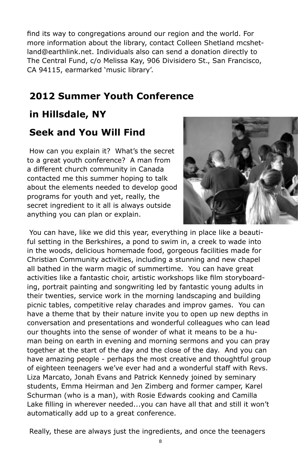find its way to congregations around our region and the world. For more information about the library, contact Colleen Shetland mcshetland@earthlink.net. Individuals also can send a donation directly to The Central Fund, c/o Melissa Kay, 906 Divisidero St., San Francisco, CA 94115, earmarked 'music library'.

# **2012 Summer Youth Conference**

# **in Hillsdale, NY Seek and You Will Find**

How can you explain it? What's the secret to a great youth conference? A man from a different church community in Canada contacted me this summer hoping to talk about the elements needed to develop good programs for youth and yet, really, the secret ingredient to it all is always outside anything you can plan or explain.



You can have, like we did this year, everything in place like a beautiful setting in the Berkshires, a pond to swim in, a creek to wade into in the woods, delicious homemade food, gorgeous facilities made for Christian Community activities, including a stunning and new chapel all bathed in the warm magic of summertime. You can have great activities like a fantastic choir, artistic workshops like film storyboarding, portrait painting and songwriting led by fantastic young adults in their twenties, service work in the morning landscaping and building picnic tables, competitive relay charades and improv games. You can have a theme that by their nature invite you to open up new depths in conversation and presentations and wonderful colleagues who can lead our thoughts into the sense of wonder of what it means to be a human being on earth in evening and morning sermons and you can pray together at the start of the day and the close of the day. And you can have amazing people - perhaps the most creative and thoughtful group of eighteen teenagers we've ever had and a wonderful staff with Revs. Liza Marcato, Jonah Evans and Patrick Kennedy joined by seminary students, Emma Heirman and Jen Zimberg and former camper, Karel Schurman (who is a man), with Rosie Edwards cooking and Camilla Lake filling in wherever needed...you can have all that and still it won't automatically add up to a great conference.

Really, these are always just the ingredients, and once the teenagers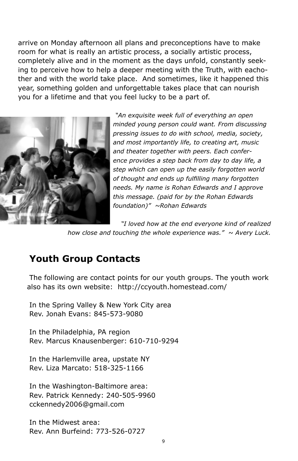arrive on Monday afternoon all plans and preconceptions have to make room for what is really an artistic process, a socially artistic process, completely alive and in the moment as the days unfold, constantly seeking to perceive how to help a deeper meeting with the Truth, with eachother and with the world take place. And sometimes, like it happened this year, something golden and unforgettable takes place that can nourish you for a lifetime and that you feel lucky to be a part of.



*"An exquisite week full of everything an open minded young person could want. From discussing pressing issues to do with school, media, society, and most importantly life, to creating art, music and theater together with peers. Each conference provides a step back from day to day life, a step which can open up the easily forgotten world of thought and ends up fulfilling many forgotten needs. My name is Rohan Edwards and I approve this message. (paid for by the Rohan Edwards foundation)" ~Rohan Edwards*

*"I loved how at the end everyone kind of realized how close and touching the whole experience was." ~ Avery Luck.* 

# **Youth Group Contacts**

The following are contact points for our youth groups. The youth work also has its own website: http://ccyouth.homestead.com/

In the Spring Valley & New York City area Rev. Jonah Evans: 845-573-9080

In the Philadelphia, PA region Rev. Marcus Knausenberger: 610-710-9294

In the Harlemville area, upstate NY Rev. Liza Marcato: 518-325-1166

In the Washington-Baltimore area: Rev. Patrick Kennedy: 240-505-9960 cckennedy2006@gmail.com

In the Midwest area: Rev. Ann Burfeind: 773-526-0727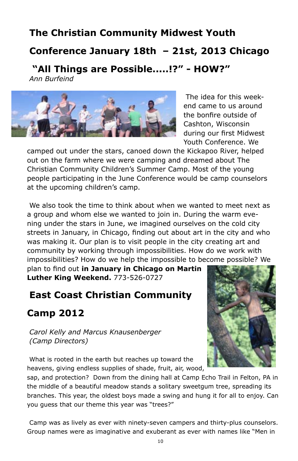# **The Christian Community Midwest Youth Conference January 18th – 21st, 2013 Chicago**

 **"All Things are Possible.....!?" - HOW?"**

*Ann Burfeind* 



The idea for this weekend came to us around the bonfire outside of Cashton, Wisconsin during our first Midwest Youth Conference. We

camped out under the stars, canoed down the Kickapoo River, helped out on the farm where we were camping and dreamed about The Christian Community Children's Summer Camp. Most of the young people participating in the June Conference would be camp counselors at the upcoming children's camp.

We also took the time to think about when we wanted to meet next as a group and whom else we wanted to join in. During the warm evening under the stars in June, we imagined ourselves on the cold city streets in January, in Chicago, finding out about art in the city and who was making it. Our plan is to visit people in the city creating art and community by working through impossibilities. How do we work with impossibilities? How do we help the impossible to become possible? We

plan to find out **in January in Chicago on Martin Luther King Weekend.** 773-526-0727

# **East Coast Christian Community**

# **Camp 2012**

*Carol Kelly and Marcus Knausenberger (Camp Directors)*

What is rooted in the earth but reaches up toward the heavens, giving endless supplies of shade, fruit, air, wood,



sap, and protection? Down from the dining hall at Camp Echo Trail in Felton, PA in the middle of a beautiful meadow stands a solitary sweetgum tree, spreading its branches. This year, the oldest boys made a swing and hung it for all to enjoy. Can you guess that our theme this year was "trees?"

Camp was as lively as ever with ninety-seven campers and thirty-plus counselors. Group names were as imaginative and exuberant as ever with names like "Men in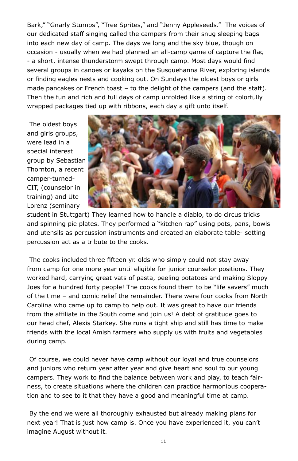Bark," "Gnarly Stumps", "Tree Sprites," and "Jenny Appleseeds." The voices of our dedicated staff singing called the campers from their snug sleeping bags into each new day of camp. The days we long and the sky blue, though on occasion - usually when we had planned an all-camp game of capture the flag - a short, intense thunderstorm swept through camp. Most days would find several groups in canoes or kayaks on the Susquehanna River, exploring islands or finding eagles nests and cooking out. On Sundays the oldest boys or girls made pancakes or French toast – to the delight of the campers (and the staff). Then the fun and rich and full days of camp unfolded like a string of colorfully wrapped packages tied up with ribbons, each day a gift unto itself.

The oldest boys and girls groups, were lead in a special interest group by Sebastian Thornton, a recent camper-turned-CIT, (counselor in training) and Ute Lorenz (seminary



student in Stuttgart) They learned how to handle a diablo, to do circus tricks and spinning pie plates. They performed a "kitchen rap" using pots, pans, bowls and utensils as percussion instruments and created an elaborate table- setting percussion act as a tribute to the cooks.

The cooks included three fifteen yr. olds who simply could not stay away from camp for one more year until eligible for junior counselor positions. They worked hard, carrying great vats of pasta, peeling potatoes and making Sloppy Joes for a hundred forty people! The cooks found them to be "life savers" much of the time – and comic relief the remainder. There were four cooks from North Carolina who came up to camp to help out. It was great to have our friends from the affiliate in the South come and join us! A debt of gratitude goes to our head chef, Alexis Starkey. She runs a tight ship and still has time to make friends with the local Amish farmers who supply us with fruits and vegetables during camp.

Of course, we could never have camp without our loyal and true counselors and juniors who return year after year and give heart and soul to our young campers. They work to find the balance between work and play, to teach fairness, to create situations where the children can practice harmonious cooperation and to see to it that they have a good and meaningful time at camp.

By the end we were all thoroughly exhausted but already making plans for next year! That is just how camp is. Once you have experienced it, you can't imagine August without it.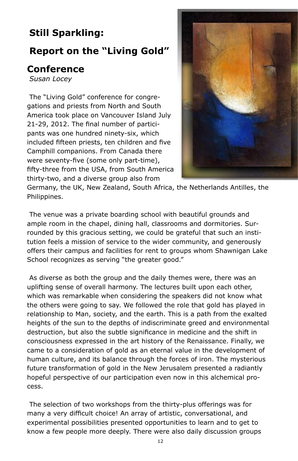# **Still Sparkling:**

# **Report on the "Living Gold"**

# **Conference**

*Susan Locey*

The "Living Gold" conference for congregations and priests from North and South America took place on Vancouver Island July 21-29, 2012. The final number of participants was one hundred ninety-six, which included fifteen priests, ten children and five Camphill companions. From Canada there were seventy-five (some only part-time), fifty-three from the USA, from South America thirty-two, and a diverse group also from



Germany, the UK, New Zealand, South Africa, the Netherlands Antilles, the Philippines.

The venue was a private boarding school with beautiful grounds and ample room in the chapel, dining hall, classrooms and dormitories. Surrounded by this gracious setting, we could be grateful that such an institution feels a mission of service to the wider community, and generously offers their campus and facilities for rent to groups whom Shawnigan Lake School recognizes as serving "the greater good."

As diverse as both the group and the daily themes were, there was an uplifting sense of overall harmony. The lectures built upon each other, which was remarkable when considering the speakers did not know what the others were going to say. We followed the role that gold has played in relationship to Man, society, and the earth. This is a path from the exalted heights of the sun to the depths of indiscriminate greed and environmental destruction, but also the subtle significance in medicine and the shift in consciousness expressed in the art history of the Renaissance. Finally, we came to a consideration of gold as an eternal value in the development of human culture, and its balance through the forces of iron. The mysterious future transformation of gold in the New Jerusalem presented a radiantly hopeful perspective of our participation even now in this alchemical process.

The selection of two workshops from the thirty-plus offerings was for many a very difficult choice! An array of artistic, conversational, and experimental possibilities presented opportunities to learn and to get to know a few people more deeply. There were also daily discussion groups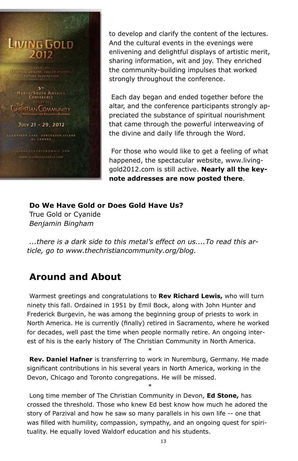

to develop and clarify the content of the lectures. And the cultural events in the evenings were enlivening and delightful displays of artistic merit, sharing information, wit and joy. They enriched the community-building impulses that worked strongly throughout the conference.

Each day began and ended together before the altar, and the conference participants strongly appreciated the substance of spiritual nourishment that came through the powerful interweaving of the divine and daily life through the Word.

For those who would like to get a feeling of what happened, the spectacular website, www.livinggold2012.com is still active. **Nearly all the keynote addresses are now posted there**.

**Do We Have Gold or Does Gold Have Us?** True Gold or Cyanide *Benjamin Bingham*

*...there is a dark side to this metal's effect on us....To read this article, go to www.thechristiancommunity.org/blog.*

# **Around and About**

Warmest greetings and congratulations to **Rev Richard Lewis,** who will turn ninety this fall. Ordained in 1951 by Emil Bock, along with John Hunter and Frederick Burgevin, he was among the beginning group of priests to work in North America. He is currently (finally) retired in Sacramento, where he worked for decades, well past the time when people normally retire. An ongoing interest of his is the early history of The Christian Community in North America.

**Rev. Daniel Hafner** is transferring to work in Nuremburg, Germany. He made significant contributions in his several years in North America, working in the Devon, Chicago and Toronto congregations. He will be missed.

\*

\*

Long time member of The Christian Community in Devon, **Ed Stone,** has crossed the threshold. Those who knew Ed best know how much he adored the story of Parzival and how he saw so many parallels in his own life -- one that was filled with humility, compassion, sympathy, and an ongoing quest for spirituality. He equally loved Waldorf education and his students.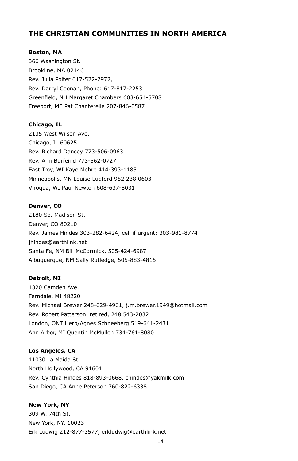#### **THE CHRISTIAN COMMUNITIES IN NORTH AMERICA**

#### **Boston, MA**

366 Washington St. Brookline, MA 02146 Rev. Julia Polter 617-522-2972, Rev. Darryl Coonan, Phone: 617-817-2253 Greenfield, NH Margaret Chambers 603-654-5708 Freeport, ME Pat Chanterelle 207-846-0587

#### **Chicago, IL**

2135 West Wilson Ave. Chicago, IL 60625 Rev. Richard Dancey 773-506-0963 Rev. Ann Burfeind 773-562-0727 East Troy, WI Kaye Mehre 414-393-1185 Minneapolis, MN Louise Ludford 952 238 0603 Viroqua, WI Paul Newton 608-637-8031

#### **Denver, CO**

2180 So. Madison St. Denver, CO 80210 Rev. James Hindes 303-282-6424, cell if urgent: 303-981-8774 jhindes@earthlink.net Santa Fe, NM Bill McCormick, 505-424-6987 Albuquerque, NM Sally Rutledge, 505-883-4815

#### **Detroit, MI**

1320 Camden Ave. Ferndale, MI 48220 Rev. Michael Brewer 248-629-4961, j.m.brewer.1949@hotmail.com Rev. Robert Patterson, retired, 248 543-2032 London, ONT Herb/Agnes Schneeberg 519-641-2431 Ann Arbor, MI Quentin McMullen 734-761-8080

#### **Los Angeles, CA**

11030 La Maida St. North Hollywood, CA 91601 Rev. Cynthia Hindes 818-893-0668, chindes@yakmilk.com San Diego, CA Anne Peterson 760-822-6338

#### **New York, NY**

309 W. 74th St. New York, NY. 10023 Erk Ludwig 212-877-3577, erkludwig@earthlink.net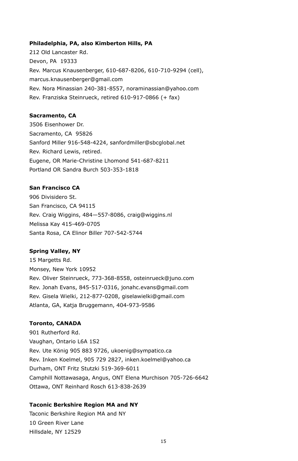#### **Philadelphia, PA, also Kimberton Hills, PA**

212 Old Lancaster Rd. Devon, PA 19333 Rev. Marcus Knausenberger, 610-687-8206, 610-710-9294 (cell), marcus.knausenberger@gmail.com Rev. Nora Minassian 240-381-8557, noraminassian@yahoo.com Rev. Franziska Steinrueck, retired 610-917-0866 (+ fax)

#### **Sacramento, CA**

3506 Eisenhower Dr. Sacramento, CA 95826 Sanford Miller 916-548-4224, sanfordmiller@sbcglobal.net Rev. Richard Lewis, retired. Eugene, OR Marie-Christine Lhomond 541-687-8211 Portland OR Sandra Burch 503-353-1818

#### **San Francisco CA**

906 Divisidero St. San Francisco, CA 94115 Rev. Craig Wiggins, 484—557-8086, craig@wiggins.nl Melissa Kay 415-469-0705 Santa Rosa, CA Elinor Biller 707-542-5744

#### **Spring Valley, NY**

15 Margetts Rd. Monsey, New York 10952 Rev. Oliver Steinrueck, 773-368-8558, osteinrueck@juno.com Rev. Jonah Evans, 845-517-0316, jonahc.evans@gmail.com Rev. Gisela Wielki, 212-877-0208, giselawielki@gmail.com Atlanta, GA, Katja Bruggemann, 404-973-9586

#### **Toronto, CANADA**

901 Rutherford Rd. Vaughan, Ontario L6A 1S2 Rev. Ute König 905 883 9726, ukoenig@sympatico.ca Rev. Inken Koelmel, 905 729 2827, inken.koelmel@yahoo.ca Durham, ONT Fritz Stutzki 519-369-6011 Camphill Nottawasaga, Angus, ONT Elena Murchison 705-726-6642 Ottawa, ONT Reinhard Rosch 613-838-2639

#### **Taconic Berkshire Region MA and NY**

Taconic Berkshire Region MA and NY 10 Green River Lane Hillsdale, NY 12529